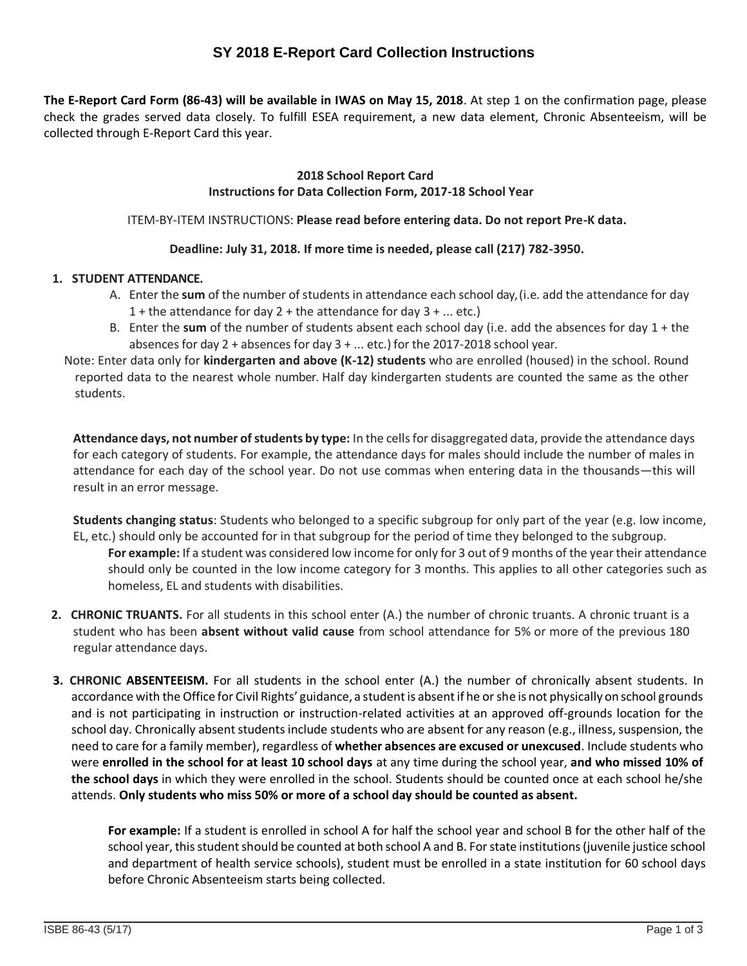# **SY 2018 E-Report Card Collection Instructions**

**The E-Report Card Form (86-43) will be available in IWAS on May 15, 2018**. At step 1 on the confirmation page, please check the grades served data closely. To fulfill ESEA requirement, a new data element, Chronic Absenteeism, will be collected through E-Report Card this year.

## **2018 School Report Card Instructions for Data Collection Form, 2017-18 School Year**

### ITEM-BY-ITEM INSTRUCTIONS: **Please read before entering data. Do not report Pre-K data.**

### **Deadline: July 31, 2018. If more time is needed, please call (217) 782-3950.**

### **1. STUDENT ATTENDANCE.**

- A. Enter the **sum** of the number of students in attendance each school day, (i.e. add the attendance for day 1 + the attendance for day 2 + the attendance for day  $3 + ...$  etc.)
- B. Enter the **sum** of the number of students absent each school day (i.e. add the absences for day 1 + the absences for day  $2 +$  absences for day  $3 + ...$  etc.) for the 2017-2018 school year.

Note: Enter data only for **kindergarten and above (K-12) students** who are enrolled (housed) in the school. Round reported data to the nearest whole number. Half day kindergarten students are counted the same as the other students.

**Attendance days, not number of students by type:** In the cells for disaggregated data, provide the attendance days for each category of students. For example, the attendance days for males should include the number of males in attendance for each day of the school year. Do not use commas when entering data in the thousands—this will result in an error message.

**Students changing status**: Students who belonged to a specific subgroup for only part of the year (e.g. low income, EL, etc.) should only be accounted for in that subgroup for the period of time they belonged to the subgroup.

**For example:** If a student was considered low income for only for 3 out of 9 months of the year their attendance should only be counted in the low income category for 3 months. This applies to all other categories such as homeless, EL and students with disabilities.

- **2. CHRONIC TRUANTS.** For all students in this school enter (A.) the number of chronic truants. A chronic truant is a student who has been **absent without valid cause** from school attendance for 5% or more of the previous 180 regular attendance days.
- **3. CHRONIC ABSENTEEISM.** For all students in the school enter (A.) the number of chronically absent students. In accordance with the Office for Civil Rights' guidance, a student is absent if he or she is not physically on school grounds and is not participating in instruction or instruction-related activities at an approved off-grounds location for the school day. Chronically absent students include students who are absent for any reason (e.g., illness, suspension, the need to care for a family member), regardless of **whether absences are excused or unexcused**. Include students who were **enrolled in the school for at least 10 school days** at any time during the school year, **and who missed 10% of the school days** in which they were enrolled in the school. Students should be counted once at each school he/she attends. **Only students who miss 50% or more of a school day should be counted as absent.**

**For example:** If a student is enrolled in school A for half the school year and school B for the other half of the school year, this student should be counted at both school A and B. For state institutions (juvenile justice school and department of health service schools), student must be enrolled in a state institution for 60 school days before Chronic Absenteeism starts being collected.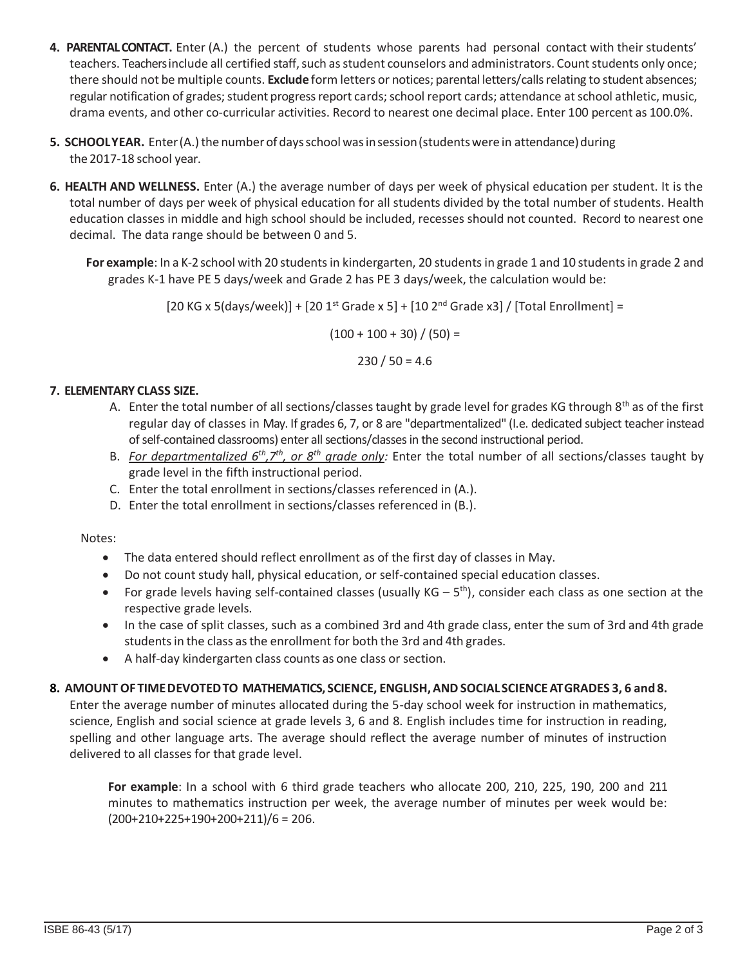- **4. PARENTAL CONTACT.** Enter (A.) the percent of students whose parents had personal contact with their students' teachers. Teachers include all certified staff, such as student counselors and administrators. Count students only once; there should not be multiple counts. **Exclude** form letters or notices; parental letters/calls relating to student absences; regular notification of grades; student progress report cards; school report cards; attendance at school athletic, music, drama events, and other co-curricular activities. Record to nearest one decimal place. Enter 100 percent as 100.0%.
- **5. SCHOOLYEAR.** Enter (A.) the number of days school was in session (students were in attendance) during the 2017-18 school year.
- **6. HEALTH AND WELLNESS.** Enter (A.) the average number of days per week of physical education per student. It is the total number of days per week of physical education for all students divided by the total number of students. Health education classes in middle and high school should be included, recesses should not counted. Record to nearest one decimal. The data range should be between 0 and 5.

**For example**: In a K-2 school with 20 studentsin kindergarten, 20 students in grade 1 and 10 studentsin grade 2 and grades K-1 have PE 5 days/week and Grade 2 has PE 3 days/week, the calculation would be:

 $[20 KG x 5(days/week)] + [20 1<sup>st</sup> Grade x 5] + [10 2<sup>nd</sup> Grade x3] / [Total Enrollment] =$ 

 $(100 + 100 + 30) / (50) =$ 

 $230 / 50 = 4.6$ 

# **7. ELEMENTARY CLASS SIZE.**

- A. Enter the total number of all sections/classes taught by grade level for grades KG through  $8<sup>th</sup>$  as of the first regular day of classes in May. If grades 6, 7, or 8 are "departmentalized" (I.e. dedicated subject teacher instead of self-contained classrooms) enter all sections/classes in the second instructional period.
- B. *For departmentalized 6th,7th, or 8th grade only:* Enter the total number of all sections/classes taught by grade level in the fifth instructional period.
- C. Enter the total enrollment in sections/classes referenced in (A.).
- D. Enter the total enrollment in sections/classes referenced in (B.).

## Notes:

- The data entered should reflect enrollment as of the first day of classes in May.
- Do not count study hall, physical education, or self-contained special education classes.
- For grade levels having self-contained classes (usually  $KG 5<sup>th</sup>$ ), consider each class as one section at the respective grade levels.
- In the case of split classes, such as a combined 3rd and 4th grade class, enter the sum of 3rd and 4th grade students in the class as the enrollment for both the 3rd and 4th grades.
- A half-day kindergarten class counts as one class or section.

## **8. AMOUNT OF TIMEDEVOTEDTO MATHEMATICS, SCIENCE, ENGLISH,ANDSOCIALSCIENCEAT GRADES 3, 6 and 8.**

Enter the average number of minutes allocated during the 5-day school week for instruction in mathematics, science, English and social science at grade levels 3, 6 and 8. English includes time for instruction in reading, spelling and other language arts. The average should reflect the average number of minutes of instruction delivered to all classes for that grade level.

**For example**: In a school with 6 third grade teachers who allocate 200, 210, 225, 190, 200 and 211 minutes to mathematics instruction per week, the average number of minutes per week would be:  $(200+210+225+190+200+211)/6 = 206.$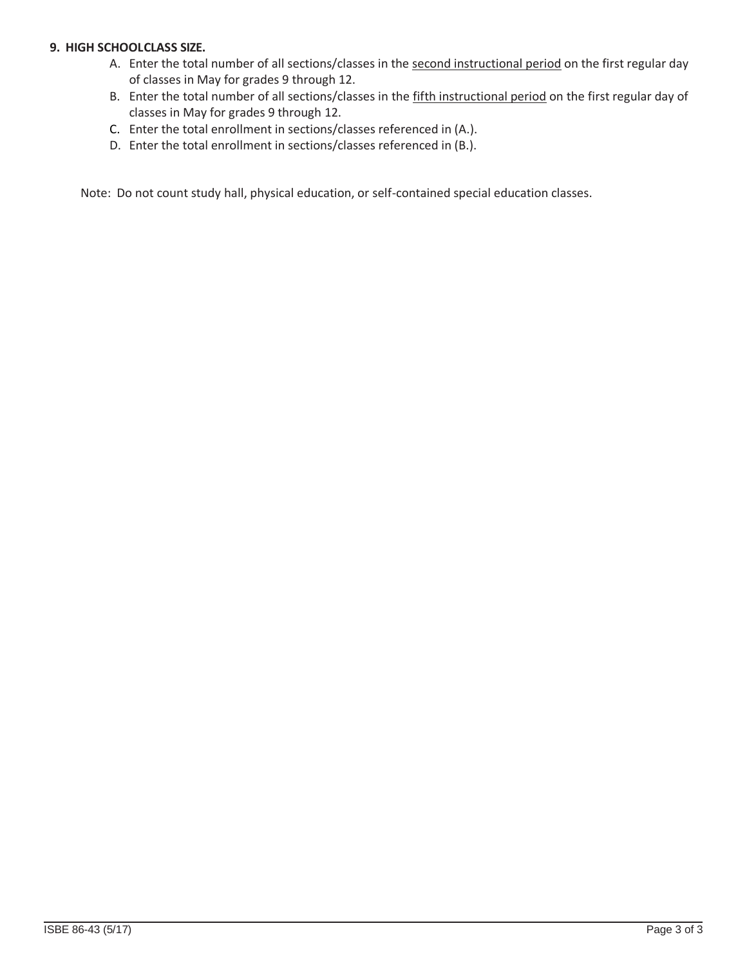# **9. HIGH SCHOOLCLASS SIZE.**

- A. Enter the total number of all sections/classes in the second instructional period on the first regular day of classes in May for grades 9 through 12.
- B. Enter the total number of all sections/classes in the fifth instructional period on the first regular day of classes in May for grades 9 through 12.
- C. Enter the total enrollment in sections/classes referenced in (A.).
- D. Enter the total enrollment in sections/classes referenced in (B.).

Note: Do not count study hall, physical education, or self-contained special education classes.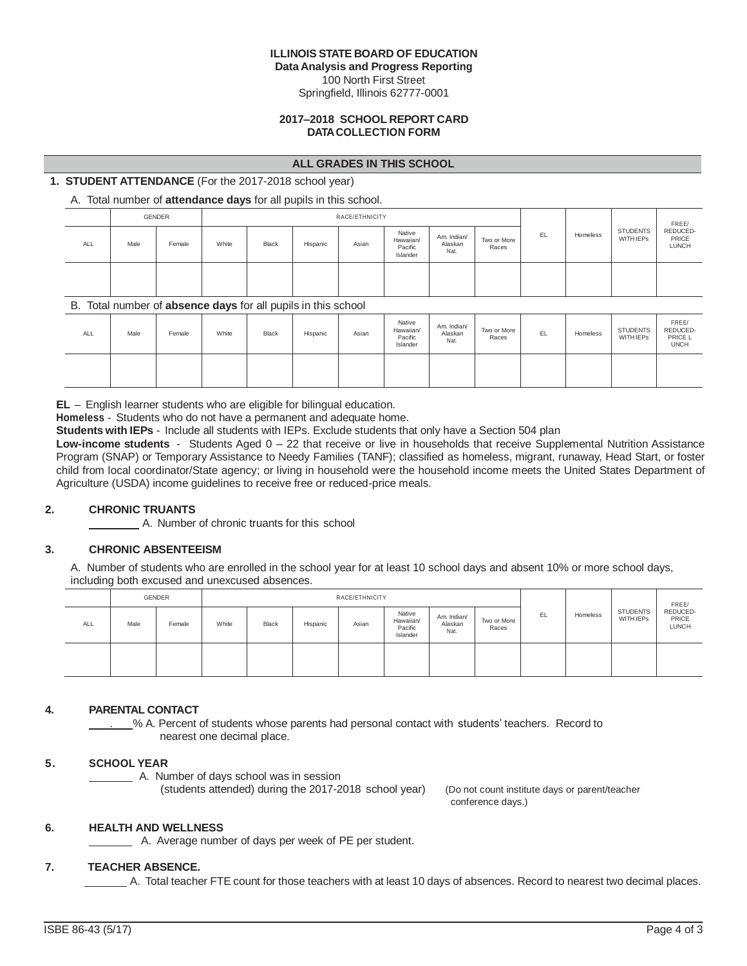#### **ILLINOIS STATE BOARD OF EDUCATION**

**Data Analysis and Progress Reporting**

100 North First Street Springfield, Illinois 62777-0001

#### **2017–2018 SCHOOL REPORT CARD DATACOLLECTION FORM**

#### **ALL GRADES IN THIS SCHOOL**

### **1. STUDENT ATTENDANCE** (For the 2017-2018 school year)

### A. Total number of **attendance days** for all pupils in this school.

|     | GENDER<br>RACE/ETHNICITY |        |       |       |          |       |                                            |                                |                      | FREE/ |          |                                     |                                   |
|-----|--------------------------|--------|-------|-------|----------|-------|--------------------------------------------|--------------------------------|----------------------|-------|----------|-------------------------------------|-----------------------------------|
| ALL | Male                     | Female | White | Black | Hispanic | Asian | Native<br>Hawaiian/<br>Pacific<br>Islander | Am. Indian/<br>Alaskan<br>Nat. | Two or More<br>Races | EL.   | Homeless | <b>STUDENTS</b><br><b>WITH IEPS</b> | REDUCED-<br>PRICE<br><b>LUNCH</b> |
|     |                          |        |       |       |          |       |                                            |                                |                      |       |          |                                     |                                   |

#### B. Total number of **absence days** for all pupils in this school

|            |      |        | . .   |       |          |       |                                            |                                |                      |    |          |                                     |                                             |
|------------|------|--------|-------|-------|----------|-------|--------------------------------------------|--------------------------------|----------------------|----|----------|-------------------------------------|---------------------------------------------|
| <b>ALL</b> | Male | Female | White | Black | Hispanic | Asian | Native<br>Hawaiian/<br>Pacific<br>Islander | Am. Indian/<br>Alaskan<br>Nat. | Two or More<br>Races | EL | Homeless | <b>STUDENTS</b><br><b>WITH IEPS</b> | FREE/<br>REDUCED-<br>PRICE L<br><b>UNCH</b> |
|            |      |        |       |       |          |       |                                            |                                |                      |    |          |                                     |                                             |

**EL** – English learner students who are eligible for bilingual education.

**Homeless** - Students who do not have a permanent and adequate home.

**Students with IEPs** - Include all students with IEPs. Exclude students that only have a Section 504 plan

**Low-income students** - Students Aged 0 – 22 that receive or live in households that receive Supplemental Nutrition Assistance Program (SNAP) or Temporary Assistance to Needy Families (TANF); classified as homeless, migrant, runaway, Head Start, or foster child from local coordinator/State agency; or living in household were the household income meets the United States Department of Agriculture (USDA) income guidelines to receive free or reduced-price meals.

#### **2. CHRONIC TRUANTS**

A. Number of chronic truants for this school

### **3. CHRONIC ABSENTEEISM**

A. Number of students who are enrolled in the school year for at least 10 school days and absent 10% or more school days, including both excused and unexcused absences.

|            |      | GENDER |       |              |          | RACE/ETHNICITY |                                            |                                |                      |     | Homeless | <b>STUDENTS</b><br><b>WITH IEPS</b> | FREE/<br>REDUCED-<br>PRICE<br><b>LUNCH</b> |
|------------|------|--------|-------|--------------|----------|----------------|--------------------------------------------|--------------------------------|----------------------|-----|----------|-------------------------------------|--------------------------------------------|
| <b>ALL</b> | Male | Female | White | <b>Black</b> | Hispanic | Asian          | Native<br>Hawaiian/<br>Pacific<br>Islander | Am. Indian/<br>Alaskan<br>Nat. | Two or More<br>Races | EL. |          |                                     |                                            |
|            |      |        |       |              |          |                |                                            |                                |                      |     |          |                                     |                                            |

#### **4. PARENTAL CONTACT**

% A. Percent of students whose parents had personal contact with students' teachers. Record to nearest one decimal place.

#### **5. SCHOOL YEAR**

A. Number of days school was in session

(students attended) during the 2017-2018 school year) (Do not count institute days or parent/teacher

conference days.)

#### **6. HEALTH AND WELLNESS**

A. Average number of days per week of PE per student.

#### **7. TEACHER ABSENCE.**

A. Total teacher FTE count for those teachers with at least 10 days of absences. Record to nearest two decimal places.